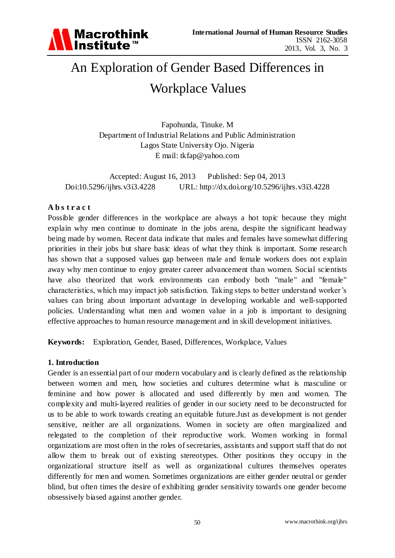

# An Exploration of Gender Based Differences in Workplace Values

Fapohunda, Tinuke. M Department of Industrial Relations and Public Administration Lagos State University Ojo. Nigeria E mail: tkfap@yahoo.com

Accepted: August 16, 2013 Published: Sep 04, 2013 Doi:10.5296/ijhrs.v3i3.4228 URL: http://dx.doi.org/10.5296/ijhrs.v3i3.4228

#### **A b s t r a c t**

Possible gender differences in the workplace are always a hot topic because they might explain why men continue to dominate in the jobs arena, despite the significant headway being made by women. Recent data indicate that males and females have somewhat differing priorities in their jobs but share basic ideas of what they think is important. Some research has shown that a supposed values gap between male and female workers does not explain away why men continue to enjoy greater career advancement than women. Social scientists have also theorized that work environments can embody both "male" and "female" characteristics, which may impact job satisfaction. Taking steps to better understand worker's values can bring about important advantage in developing workable and well-supported policies. Understanding what men and women value in a job is important to designing effective approaches to human resource management and in skill development initiatives.

**Keywords:** Exploration, Gender, Based, Differences, Workplace, Values

#### **1. Introduction**

Gender is an essential part of our modern vocabulary and is clearly defined as the relationship between women and men, how societies and cultures determine what is masculine or feminine and how power is allocated and used differently by men and women. The complexity and multi-layered realities of gender in our society need to be deconstructed for us to be able to work towards creating an equitable future.Just as development is not gender sensitive, neither are all organizations. Women in society are often marginalized and relegated to the completion of their reproductive work. Women working in formal organizations are most often in the roles of secretaries, assistants and support staff that do not allow them to break out of existing stereotypes. Other positions they occupy in the organizational structure itself as well as organizational cultures themselves operates differently for men and women. Sometimes organizations are either gender neutral or gender blind, but often times the desire of exhibiting gender sensitivity towards one gender become obsessively biased against another gender.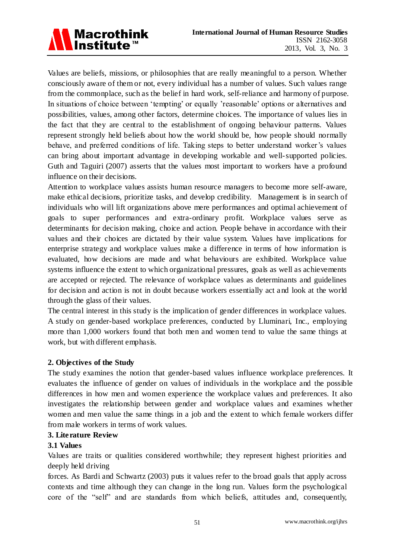

Values are beliefs, missions, or philosophies that are really meaningful to a person. Whether consciously aware of them or not, every individual has a number of values. Such values range from the commonplace, such as the belief in hard work, self-reliance and harmony of purpose. In situations of choice between 'tempting' or equally 'reasonable' options or alternatives and possibilities, values, among other factors, determine choices. The importance of values lies in the fact that they are central to the establishment of ongoing behaviour patterns. Values represent strongly held beliefs about how the world should be, how people should normally behave, and preferred conditions of life. Taking steps to better understand worker's values can bring about important advantage in developing workable and well-supported policies. Guth and Taguiri (2007) asserts that the values most important to workers have a profound influence on their decisions.

Attention to workplace values assists human resource managers to become more self-aware, make ethical decisions, prioritize tasks, and develop credibility. Management is in search of individuals who will lift organizations above mere performances and optimal achievement of goals to super performances and extra-ordinary profit. Workplace values serve as determinants for decision making, choice and action. People behave in accordance with their values and their choices are dictated by their value system. Values have implications for enterprise strategy and workplace values make a difference in terms of how information is evaluated, how decisions are made and what behaviours are exhibited. Workplace value systems influence the extent to which organizational pressures, goals as well as achievements are accepted or rejected. The relevance of workplace values as determinants and guidelines for decision and action is not in doubt because workers essentially act and look at the world through the glass of their values.

The central interest in this study is the implication of gender differences in workplace values. A study on gender-based workplace preferences, conducted by Lluminari, Inc., employing more than 1,000 workers found that both men and women tend to value the same things at work, but with different emphasis.

# **2. Objectives of the Study**

The study examines the notion that gender-based values influence workplace preferences. It evaluates the influence of gender on values of individuals in the workplace and the possible differences in how men and women experience the workplace values and preferences. It also investigates the relationship between gender and workplace values and examines whether women and men value the same things in a job and the extent to which female workers differ from male workers in terms of work values.

#### **3. Literature Review**

#### **3.1 Values**

Values are traits or qualities considered worthwhile; they represent highest priorities and deeply held driving

forces. As Bardi and Schwartz (2003) puts it values refer to the broad goals that apply across contexts and time although they can change in the long run. Values form the psychological core of the "self" and are standards from which beliefs, attitudes and, consequently,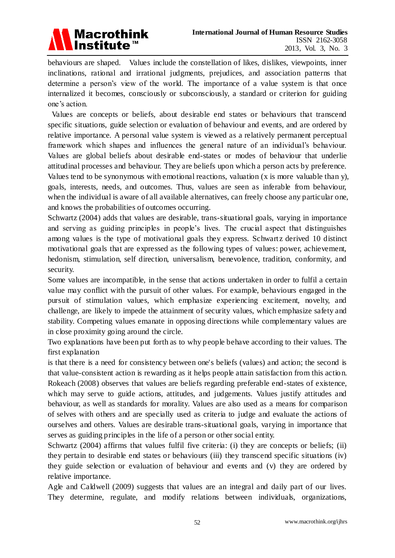

behaviours are shaped. Values include the constellation of likes, dislikes, viewpoints, inner inclinations, rational and irrational judgments, prejudices, and association patterns that determine a person's view of the world. The importance of a value system is that once internalized it becomes, consciously or subconsciously, a standard or criterion for guiding one's action.

Values are concepts or beliefs, about desirable end states or behaviours that transcend specific situations, guide selection or evaluation of behaviour and events, and are ordered by relative importance. A personal value system is viewed as a relatively permanent perceptual framework which shapes and influences the general nature of an individual's behaviour. Values are global beliefs about desirable end-states or modes of behaviour that underlie attitudinal processes and behaviour. They are beliefs upon which a person acts by preference. Values tend to be synonymous with emotional reactions, valuation (x is more valuable than y), goals, interests, needs, and outcomes. Thus, values are seen as inferable from behaviour, when the individual is aware of all available alternatives, can freely choose any particular one, and knows the probabilities of outcomes occurring.

Schwartz (2004) adds that values are desirable, trans-situational goals, varying in importance and serving as guiding principles in people's lives. The crucial aspect that distinguishes among values is the type of motivational goals they express. Schwartz derived 10 distinct motivational goals that are expressed as the following types of values: power, achievement, hedonism, stimulation, self direction, universalism, benevolence, tradition, conformity, and security.

Some values are incompatible, in the sense that actions undertaken in order to fulfil a certain value may conflict with the pursuit of other values. For example, behaviours engaged in the pursuit of stimulation values, which emphasize experiencing excitement, novelty, and challenge, are likely to impede the attainment of security values, which emphasize safety and stability. Competing values emanate in opposing directions while complementary values are in close proximity going around the circle.

Two explanations have been put forth as to why people behave according to their values. The first explanation

is that there is a need for consistency between one's beliefs (values) and action; the second is that value-consistent action is rewarding as it helps people attain satisfaction from this actio n. Rokeach (2008) observes that values are beliefs regarding preferable end-states of existence, which may serve to guide actions, attitudes, and judgements. Values justify attitudes and behaviour, as well as standards for morality. Values are also used as a means for comparison of selves with others and are specially used as criteria to judge and evaluate the actions of ourselves and others. Values are desirable trans-situational goals, varying in importance that serves as guiding principles in the life of a person or other social entity.

Schwartz (2004) affirms that values fulfil five criteria: (i) they are concepts or beliefs; (ii) they pertain to desirable end states or behaviours (iii) they transcend specific situations (iv) they guide selection or evaluation of behaviour and events and (v) they are ordered by relative importance.

Agle and Caldwell (2009) suggests that values are an integral and daily part of our lives. They determine, regulate, and modify relations between individuals, organizations,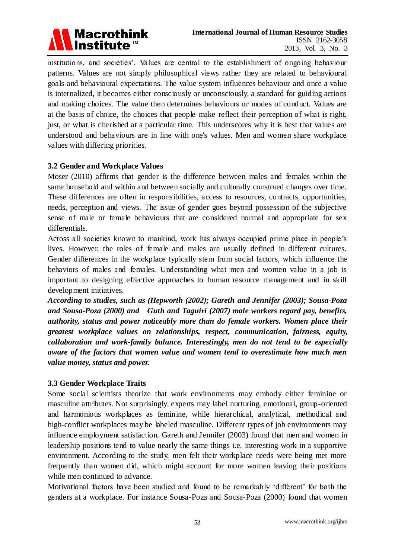

institutions, and societies'. Values are central to the establishment of ongoing behaviour patterns. Values are not simply philosophical views rather they are related to behavioural goals and behavioural expectations. The value system influences behaviour and once a value is internalized, it becomes either consciously or unconsciously, a standard for guiding actions and making choices. The value then determines behaviours or modes of conduct. Values are at the basis of choice, the choices that people make reflect their perception of what is right, just, or what is cherished at a particular time. This underscores why it is best that values are understood and behaviours are in line with one's values. Men and women share workplace values with differing priorities.

# **3.2 Gender and Workplace Values**

Moser (2010) affirms that gender is the difference between males and females within the same household and within and between socially and culturally construed changes over time. These differences are often in responsibilities, access to resources, contracts, opportunities, needs, perception and views. The issue of gender goes beyond possession of the subjective sense of male or female behaviours that are considered normal and appropriate for sex differentials.

Across all societies known to mankind, work has always occupied prime place in people's lives. However, the roles of female and males are usually defined in different cultures. Gender differences in the workplace typically stem from social factors, which influence the behaviors of males and females. Understanding what men and women value in a job is important to designing effective approaches to human resource management and in skill development initiatives.

*According to studies, such as (Hepworth (2002); Gareth and Jennifer (2003); Sousa-Poza and Sousa-Poza (2000) and Guth and Taguiri (2007) male workers regard pay, benefits, authority, status and power noticeably more than do female workers. Women place their greatest workplace values on relationships, respect, communication, fairness, equity, collaboration and work-family balance. Interestingly, men do not tend to be especially aware of the factors that women value and women tend to overestimate how much men value money, status and power.*

#### **3.3 Gender Workplace Traits**

Some social scientists theorize that work environments may embody either feminine or masculine attributes. Not surprisingly, experts may label nurturing, emotional, group-oriented and harmonious workplaces as feminine, while hierarchical, analytical, methodical and high-conflict workplaces may be labeled masculine. Different types of job environments may influence employment satisfaction. Gareth and Jennifer (2003) found that men and women in leadership positions tend to value nearly the same things i.e. interesting work in a supportive environment. According to the study, men felt their workplace needs were being met more frequently than women did, which might account for more women leaving their positions while men continued to advance.

Motivational factors have been studied and found to be remarkably 'different' for both the genders at a workplace. For instance Sousa-Poza and Sousa-Poza (2000) found that women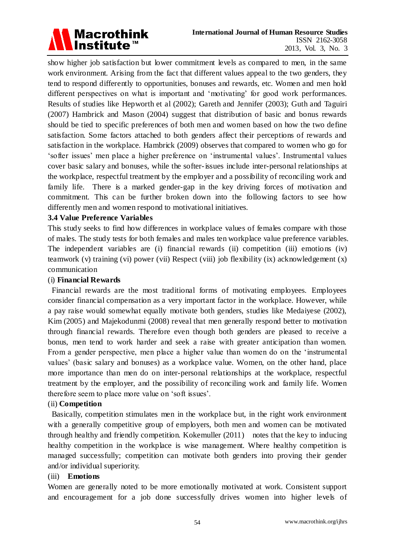# Macrothink<br>∎Institute™

show higher job satisfaction but lower commitment levels as compared to men, in the same work environment. Arising from the fact that different values appeal to the two genders, they tend to respond differently to opportunities, bonuses and rewards, etc. Women and men hold different perspectives on what is important and 'motivating' for good work performances. Results of studies like Hepworth et al (2002); Gareth and Jennifer (2003); Guth and Taguiri (2007) Hambrick and Mason (2004) suggest that distribution of basic and bonus rewards should be tied to specific preferences of both men and women based on how the two define satisfaction. Some factors attached to both genders affect their perceptions of rewards and satisfaction in the workplace. Hambrick (2009) observes that compared to women who go for 'softer issues' men place a higher preference on 'instrumental values'. Instrumental values cover basic salary and bonuses, while the softer-issues include inter-personal relationships at the workplace, respectful treatment by the employer and a possibility of reconciling work and family life. There is a marked gender-gap in the key driving forces of motivation and commitment. This can be further broken down into the following factors to see how differently men and women respond to motivational initiatives.

# **3.4 Value Preference Variables**

This study seeks to find how differences in workplace values of females compare with those of males. The study tests for both females and males ten workplace value preference variables. The independent variables are (i) financial rewards (ii) competition (iii) emotions (iv) teamwork (v) training (vi) power (vii) Respect (viii) job flexibility (ix) acknowledgement (x) communication

#### (i) **Financial Rewards**

Financial rewards are the most traditional forms of motivating employees. Employees consider financial compensation as a very important factor in the workplace. However, while a pay raise would somewhat equally motivate both genders, studies like Medaiyese (2002), Kim (2005) and Majekodunmi (2008) reveal that men generally respond better to motivation through financial rewards. Therefore even though both genders are pleased to receive a bonus, men tend to work harder and seek a raise with greater anticipation than women. From a gender perspective, men place a higher value than women do on the 'instrumental values' (basic salary and bonuses) as a workplace value. Women, on the other hand, place more importance than men do on inter-personal relationships at the workplace, respectful treatment by the employer, and the possibility of reconciling work and family life. Women therefore seem to place more value on 'soft issues'.

#### (ii) **Competition**

Basically, competition stimulates men in the workplace but, in the right work environment with a generally competitive group of employers, both men and women can be motivated through healthy and friendly competition. Kokemuller (2011) notes that the key to inducing healthy competition in the workplace is wise management. Where healthy competition is managed successfully; competition can motivate both genders into proving their gender and/or individual superiority.

#### (iii) **Emotions**

Women are generally noted to be more emotionally motivated at work. Consistent support and encouragement for a job done successfully drives women into higher levels of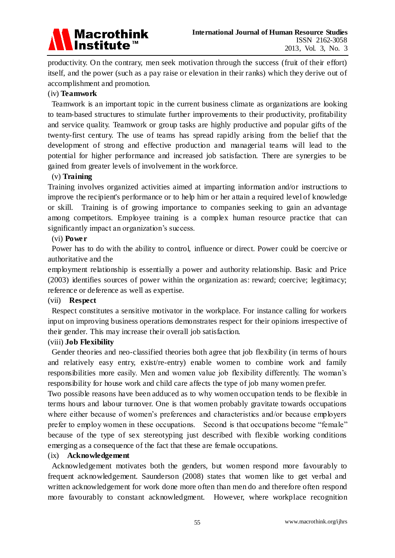

productivity. On the contrary, men seek motivation through the success (fruit of their effort) itself, and the power (such as a pay raise or elevation in their ranks) which they derive out of accomplishment and promotion.

# (iv) **Teamwork**

Teamwork is an important topic in the current business climate as organizations are looking to team-based structures to stimulate further improvements to their productivity, profitability and service quality. Teamwork or group tasks are highly productive and popular gifts of the twenty-first century. The use of teams has spread rapidly arising from the belief that the development of strong and effective production and managerial teams will lead to the potential for higher performance and increased job satisfaction. There are synergies to be gained from greater levels of involvement in the workforce.

#### (v) **Training**

Training involves [organized](http://www.businessdictionary.com/definition/organized.html) [activities](http://www.businessdictionary.com/definition/activity.html) aimed at imparting [information](http://www.businessdictionary.com/definition/information.html) and/or [instructions](http://www.businessdictionary.com/definition/instructions.html) to [improve](http://www.businessdictionary.com/definition/improve.html) the [recipient's](http://www.businessdictionary.com/definition/recipient.html) [performance](http://www.businessdictionary.com/definition/performance.html) or to help him or her attain a [required](http://www.businessdictionary.com/definition/required.html) level o[f knowledge](http://www.businessdictionary.com/definition/knowledge.html) or [skill.](http://www.businessdictionary.com/definition/skill.html) Training is of growing importance to companies seeking to gain an advantage among competitors. Employee training is a complex human resource practice that can significantly impact an organization's success.

#### (vi) **Power**

Power has to do with the ability to control, influence or direct. Power could be coercive or authoritative and the

employment relationship is essentially a power and authority relationship. Basic and Price (2003) identifies sources of power within the organization as: reward; coercive; legitimacy; reference or deference as well as expertise.

#### (vii) **Respect**

Respect constitutes a sensitive motivator in the workplace. For instance calling for workers input on improving business operations demonstrates respect for their opinions irrespective of their gender. This may increase their overall job satisfaction.

#### (viii) **Job Flexibility**

Gender theories and neo-classified theories both agree that job flexibility (in terms of hours and relatively easy entry, exist/re-entry) enable women to combine work and family responsibilities more easily. Men and women value job flexibility differently. The woman's responsibility for house work and child care affects the type of job many women prefer.

Two possible reasons have been adduced as to why women occupation tends to be flexible in terms hours and labour turnover. One is that women probably gravitate towards occupations where either because of women's preferences and characteristics and/or because employers prefer to employ women in these occupations. Second is that occupations become "female" because of the type of sex stereotyping just described with flexible working conditions emerging as a consequence of the fact that these are female occupations.

#### (ix) **Acknowledgement**

Acknowledgement motivates both the genders, but women respond more favourably to frequent acknowledgement. Saunderson (2008) states that women like to get verbal and written acknowledgement for work done more often than men do and therefore often respond more favourably to constant acknowledgment. However, where workplace recognition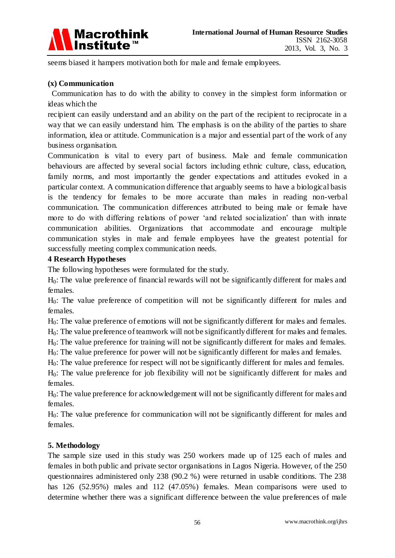

seems biased it hampers motivation both for male and female employees.

#### **(x) Communication**

Communication has to do with the ability to convey in the simplest form information or ideas which the

recipient can easily understand and an ability on the part of the recipient to reciprocate in a way that we can easily understand him. The emphasis is on the ability of the parties to share information, idea or attitude. Communication is a major and essential part of the work of any business organisation.

Communication is vital to every part of business. Male and female communication behaviours are affected by several social factors including ethnic culture, class, education, family norms, and most importantly the gender expectations and attitudes evoked in a particular context. A communication difference that arguably seems to have a biological basis is the tendency for females to be more accurate than males in reading non-verbal communication. The communication differences attributed to being male or female have more to do with differing relations of power 'and related socialization' than with innate communication abilities. Organizations that accommodate and encourage multiple communication styles in male and female employees have the greatest potential for successfully meeting complex communication needs.

# **4 Research Hypotheses**

The following hypotheses were formulated for the study.

H0: The value preference of financial rewards will not be significantly different for males and females.

H0: The value preference of competition will not be significantly different for males and females.

H0: The value preference of emotions will not be significantly different for males and females.

H<sub>0</sub>: The value preference of teamwork will not be significantly different for males and females.

H0: The value preference for training will not be significantly different for males and females. H0: The value preference for power will not be significantly different for males and females.

H0: The value preference for respect will not be significantly different for males and females.

H0: The value preference for job flexibility will not be significantly different for males and females.

H0: The value preference for acknowledgement will not be significantly different for males and females.

H0: The value preference for communication will not be significantly different for males and females.

# **5. Methodology**

The sample size used in this study was 250 workers made up of 125 each of males and females in both public and private sector organisations in Lagos Nigeria. However, of the 250 questionnaires administered only 238 (90.2 %) were returned in usable conditions. The 238 has 126 (52.95%) males and 112 (47.05%) females. Mean comparisons were used to determine whether there was a significant difference between the value preferences of male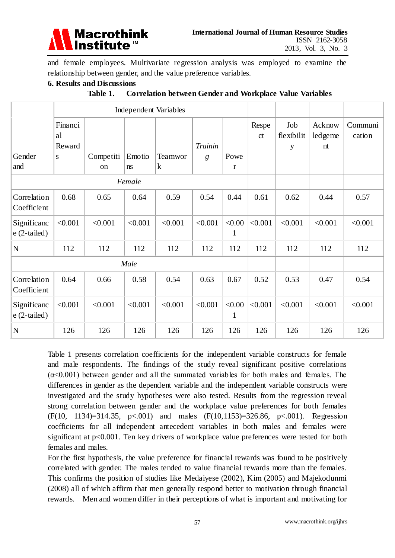

and female employees. Multivariate regression analysis was employed to examine the relationship between gender, and the value preference variables.

# **6. Results and Discussions**

|                              |               |                 | <b>Independent Variables</b> |                        |                |                        |             |                   |                   |                   |  |  |  |
|------------------------------|---------------|-----------------|------------------------------|------------------------|----------------|------------------------|-------------|-------------------|-------------------|-------------------|--|--|--|
|                              | Financi<br>al |                 |                              |                        |                |                        | Respe<br>ct | Job<br>flexibilit | Acknow<br>ledgeme | Communi<br>cation |  |  |  |
|                              | Reward        |                 |                              |                        | <b>Trainin</b> |                        |             | y                 | nt                |                   |  |  |  |
| Gender<br>and                | S             | Competiti<br>on | Emotio<br><sub>ns</sub>      | Teamwor<br>$\mathbf k$ | $\mathfrak{g}$ | Powe<br>$\mathbf{r}$   |             |                   |                   |                   |  |  |  |
|                              |               |                 |                              |                        |                |                        |             |                   |                   |                   |  |  |  |
|                              |               |                 | Female                       |                        |                |                        |             |                   |                   |                   |  |  |  |
| Correlation<br>Coefficient   | 0.68          | 0.65            | 0.64                         | 0.59                   | 0.54           | 0.44                   | 0.61        | 0.62              | 0.44              | 0.57              |  |  |  |
| Significanc<br>$e(2-tailed)$ | < 0.001       | < 0.001         | < 0.001                      | < 0.001                | < 0.001        | < 0.00<br>$\mathbf{1}$ | < 0.001     | < 0.001           | < 0.001           | < 0.001           |  |  |  |
| N                            | 112           | 112             | 112                          | 112                    | 112            | 112                    | 112         | 112               | 112               | 112               |  |  |  |
|                              |               |                 | Male                         |                        |                |                        |             |                   |                   |                   |  |  |  |
| Correlation<br>Coefficient   | 0.64          | 0.66            | 0.58                         | 0.54                   | 0.63           | 0.67                   | 0.52        | 0.53              | 0.47              | 0.54              |  |  |  |
| Significanc<br>$e(2-tailed)$ | < 0.001       | < 0.001         | < 0.001                      | < 0.001                | < 0.001        | < 0.00<br>$\mathbf{1}$ | < 0.001     | < 0.001           | < 0.001           | < 0.001           |  |  |  |
| N                            | 126           | 126             | 126                          | 126                    | 126            | 126                    | 126         | 126               | 126               | 126               |  |  |  |

| Table 1. | <b>Correlation between Gender and Workplace Value Variables</b> |  |  |  |  |
|----------|-----------------------------------------------------------------|--|--|--|--|
|----------|-----------------------------------------------------------------|--|--|--|--|

Table 1 presents correlation coefficients for the independent variable constructs for female and male respondents. The findings of the study reveal significant positive correlations  $(\alpha \le 0.001)$  between gender and all the summated variables for both males and females. The differences in gender as the dependent variable and the independent variable constructs were investigated and the study hypotheses were also tested. Results from the regression reveal strong correlation between gender and the workplace value preferences for both females (F(10, 1134)=314.35, p<.001) and males (F(10,1153)=326.86, p<.001). Regression coefficients for all independent antecedent variables in both males and females were significant at p<0.001. Ten key drivers of workplace value preferences were tested for both females and males.

For the first hypothesis, the value preference for financial rewards was found to be positively correlated with gender. The males tended to value financial rewards more than the females. This confirms the position of studies like Medaiyese (2002), Kim (2005) and Majekodunmi (2008) all of which affirm that men generally respond better to motivation through financial rewards. Men and women differ in their perceptions of what is important and motivating for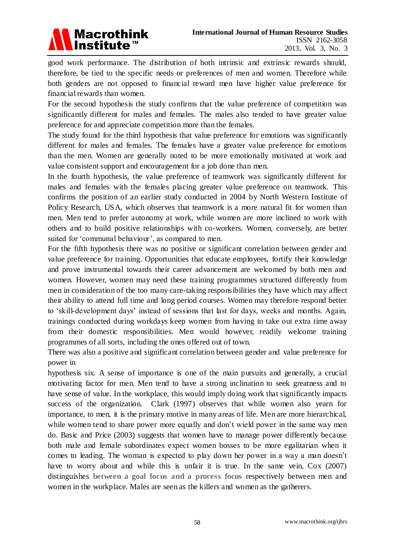

good work performance. The distribution of both intrinsic and extrinsic rewards should, therefore, be tied to the specific needs or preferences of men and women. Therefore while both genders are not opposed to financial reward men have higher value preference for financial rewards than women.

For the second hypothesis the study confirms that the value preference of competition was significantly different for males and females. The males also tended to have greater value preference for and appreciate competition more than the females.

The study found for the third hypothesis that value preference for emotions was significantly different for males and females. The females have a greater value preference for emotions than the men. Women are generally noted to be more emotionally motivated at work and value consistent support and encouragement for a job done than men.

In the fourth hypothesis, the value preference of teamwork was significantly different for males and females with the females placing greater value preference on teamwork. This confirms the position of an earlier study conducted in 2004 by North Western Institute of Policy Research, USA, which observes that teamwork is a more natural fit for women than men. Men tend to prefer autonomy at work, while women are more inclined to work with others and to build positive relationships with co-workers. Women, conversely, are better suited for 'communal behaviour', as compared to men.

For the fifth hypothesis there was no positive or significant correlation between gender and value preference for training. Opportunities that educate employees, fortify their knowledge and prove instrumental towards their career advancement are welcomed by both men and women. However, women may need these training programmes structured differently from men in consideration of the too many care-taking responsibilities they have which may affect their ability to attend full time and long period courses. Women may therefore respond better to 'skill-development days' instead of sessions that last for days, weeks and months. Again, trainings conducted during workdays keep women from having to take out extra time away from their domestic responsibilities. Men would however, readily welcome training programmes of all sorts, including the ones offered out of town.

There was also a positive and significant correlation between gender and value preference for power in

hypothesis six. A sense of importance is one of the main pursuits and generally, a crucial motivating factor for men. Men tend to have a strong inclination to seek greatness and to have sense of value. In the workplace, this would imply doing work that significantly impacts success of the organization. Clark (1997) observes that while women also yearn for importance, to men, it is the primary motive in many areas of life. Men are more hierarchical, while women tend to share power more equally and don't wield power in the same way men do. Basic and Price (2003) suggests that women have to manage power differently because both male and female subordinates expect women bosses to be more egalitarian when it comes to leading. The woman is expected to play down her power in a way a man doesn't have to worry about and while this is unfair it is true. In the same vein, Cox (2007) distinguishes **between a goal focus and a process focus** respectively between men and women in the workplace. Males are seen as the killers and women as the gatherers.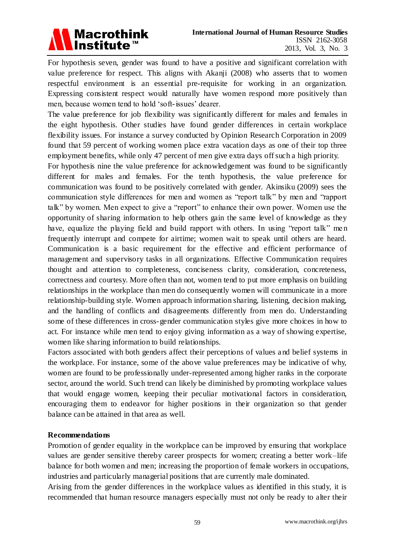

For hypothesis seven, gender was found to have a positive and significant correlation with value preference for respect. This aligns with Akanji (2008) who asserts that to women respectful environment is an essential pre-requisite for working in an organization. Expressing consistent respect would naturally have women respond more positively than men, because women tend to hold 'soft-issues' dearer.

The value preference for job flexibility was significantly different for males and females in the eight hypothesis. Other studies have found gender differences in certain workplace flexibility issues. For instance a survey conducted by Opinion Research Corporation in 2009 found that 59 percent of working women place extra vacation days as one of their top three employment benefits, while only 47 percent of men give extra days off such a high priority.

For hypothesis nine the value preference for acknowledgement was found to be significantly different for males and females. For the tenth hypothesis, the value preference for communication was found to be positively correlated with gender. Akinsiku (2009) sees the communication style differences for men and women as "report talk" by men and "rapport talk" by women. Men expect to give a "report" to enhance their own power. Women use the opportunity of sharing information to help others gain the same level of knowledge as they have, equalize the playing field and build rapport with others. In using "report talk" men frequently interrupt and compete for airtime; women wait to speak until others are heard. Communication is a basic requirement for the effective and efficient performance of management and supervisory tasks in all organizations. Effective Communication requires thought and attention to completeness, conciseness clarity, consideration, concreteness, correctness and courtesy. More often than not, women tend to put more emphasis on building relationships in the workplace than men do consequently women will communicate in a more relationship-building style. Women approach information sharing, listening, decision making, and the handling of conflicts and disagreements differently from men do. Understanding some of these differences in cross-gender communication styles give more choices in how to act. For instance while men tend to enjoy giving information as a way of showing expertise, women like sharing information to build relationships.

Factors associated with both genders affect their perceptions of values and belief systems in the workplace. For instance, some of the above value preferences may be indicative of why, women are found to be professionally under-represented among higher ranks in the corporate sector, around the world. Such trend can likely be diminished by promoting workplace values that would engage women, keeping their peculiar motivational factors in consideration, encouraging them to endeavor for higher positions in their organization so that gender balance can be attained in that area as well.

#### **Recommendations**

Promotion of gender equality in the workplace can be improved by ensuring that workplace values are gender sensitive thereby career prospects for women; creating a better work–life balance for both women and men; increasing the proportion of female workers in occupations, industries and particularly managerial positions that are currently male dominated.

Arising from the gender differences in the workplace values as identified in this study, it is recommended that human resource managers especially must not only be ready to alter their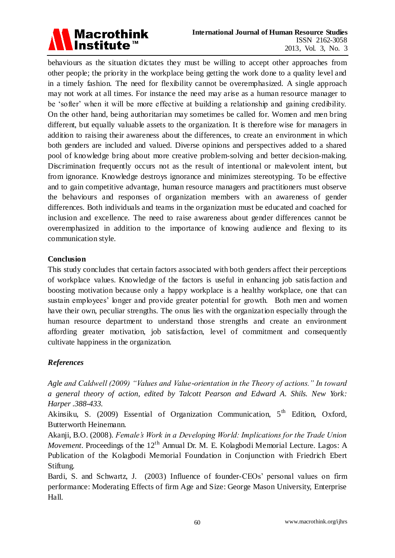

behaviours as the situation dictates they must be willing to accept other approaches from other people; the priority in the workplace being getting the work done to a quality level and in a timely fashion. The need for flexibility cannot be overemphasized. A single approach may not work at all times. For instance the need may arise as a human resource manager to be 'softer' when it will be more effective at building a relationship and gaining credibility. On the other hand, being authoritarian may sometimes be called for. Women and men bring different, but equally valuable assets to the organization. It is therefore wise for managers in addition to raising their awareness about the differences, to create an environment in which both genders are included and valued. Diverse opinions and perspectives added to a shared pool of knowledge bring about more creative problem-solving and better decision-making. Discrimination frequently occurs not as the result of intentional or malevolent intent, but from ignorance. Knowledge destroys ignorance and minimizes stereotyping. To be effective and to gain competitive advantage, human resource managers and practitioners must observe the behaviours and responses of organization members with an awareness of gender differences. Both individuals and teams in the organization must be educated and coached for inclusion and excellence. The need to raise awareness about gender differences cannot be overemphasized in addition to the importance of knowing audience and flexing to its communication style.

# **Conclusion**

This study concludes that certain factors associated with both genders affect their perceptions of workplace values. Knowledge of the factors is useful in enhancing job satisfaction and boosting motivation because only a happy workplace is a healthy workplace, one that can sustain employees' longer and provide greater potential for growth. Both men and women have their own, peculiar strengths. The onus lies with the organization especially through the human resource department to understand those strengths and create an environment affording greater motivation, job satisfaction, level of commitment and consequently cultivate happiness in the organization.

# *References*

*Agle and Caldwell (2009) "Values and Value-orientation in the Theory of actions." In toward a general theory of action, edited by Talcott Pearson and Edward A. Shils. New York: Harper .388-433.*

Akinsiku, S. (2009) Essential of Organization Communication, 5<sup>th</sup> Edition, Oxford, Butterworth Heinemann.

Akanji, B.O. (2008). *Female's Work in a Developing World: Implications for the Trade Union Movement.* Proceedings of the 12<sup>th</sup> Annual Dr. M. E. Kolagbodi Memorial Lecture. Lagos: A Publication of the Kolagbodi Memorial Foundation in Conjunction with Friedrich Ebert Stiftung.

Bardi, S. and Schwartz, J. (2003) Influence of founder-CEOs' personal values on firm performance: Moderating Effects of firm Age and Size: George Mason University, Enterprise Hall.